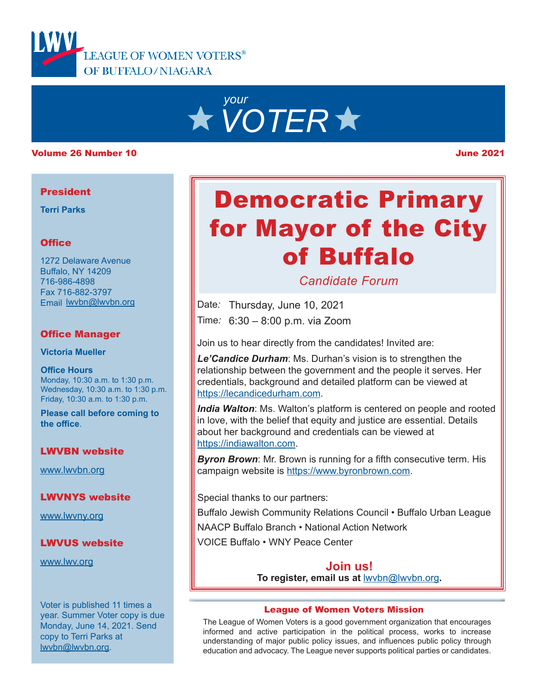



#### Volume 26 Number 10 June 2021

#### President

**Terri Parks**

#### **Office**

1272 Delaware Avenue Buffalo, NY 14209 716-986-4898 Fax 716-882-3797 Email lwvbn@lwvbn.org

#### Office Manager

**Victoria Mueller**

**Office Hours** Monday, 10:30 a.m. to 1:30 p.m. Wednesday, 10:30 a.m. to 1:30 p.m. Friday, 10:30 a.m. to 1:30 p.m.

**Please call before coming to the office**.

#### LWVBN website

www.lwvbn.org

LWVNYS website

www.lwvny.org

### LWVUS website

www.lwv.org

Voter is published 11 times a year. Summer Voter copy is due Monday, June 14, 2021. Send copy to Terri Parks at lwvbn@lwvbn.org.

# Democratic Primary for Mayor of the City of Buffalo

*Candidate Forum*

Date*:* Thursday, June 10, 2021

Time*:* 6:30 – 8:00 p.m. via Zoom

Join us to hear directly from the candidates! Invited are:

*Le'Candice Durham*: Ms. Durhan's vision is to strengthen the relationship between the government and the people it serves. Her credentials, background and detailed platform can be viewed at https://lecandicedurham.com.

*India Walton*: Ms. Walton's platform is centered on people and rooted in love, with the belief that equity and justice are essential. Details about her background and credentials can be viewed at https://indiawalton.com.

*Byron Brown*: Mr. Brown is running for a fifth consecutive term. His campaign website is https://www.byronbrown.com.

Special thanks to our partners:

Buffalo Jewish Community Relations Council • Buffalo Urban League

NAACP Buffalo Branch • National Action Network

VOICE Buffalo • WNY Peace Center

**To register, email us at** lwvbn@lwvbn.org**. Join us!**

#### League of Women Voters Mission

The League of Women Voters is a good government organization that encourages informed and active participation in the political process, works to increase understanding of major public policy issues, and influences public policy through education and advocacy. The League never supports political parties or candidates.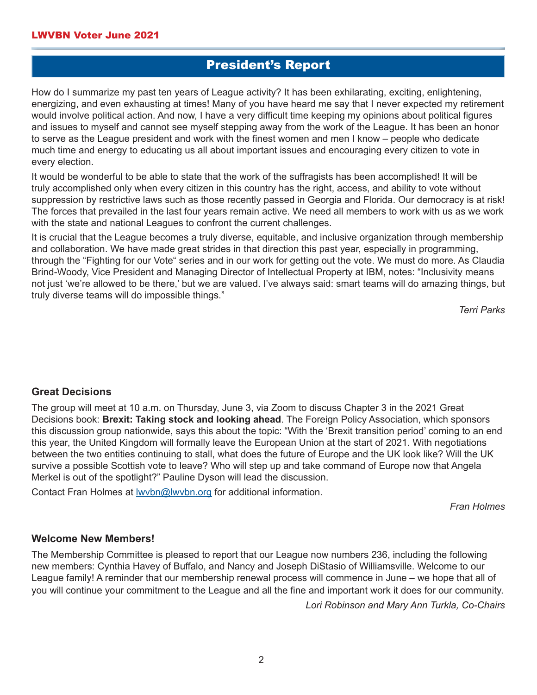# President's Report

How do I summarize my past ten years of League activity? It has been exhilarating, exciting, enlightening, energizing, and even exhausting at times! Many of you have heard me say that I never expected my retirement would involve political action. And now, I have a very difficult time keeping my opinions about political figures and issues to myself and cannot see myself stepping away from the work of the League. It has been an honor to serve as the League president and work with the finest women and men I know – people who dedicate much time and energy to educating us all about important issues and encouraging every citizen to vote in every election.

It would be wonderful to be able to state that the work of the suffragists has been accomplished! It will be truly accomplished only when every citizen in this country has the right, access, and ability to vote without suppression by restrictive laws such as those recently passed in Georgia and Florida. Our democracy is at risk! The forces that prevailed in the last four years remain active. We need all members to work with us as we work with the state and national Leagues to confront the current challenges.

It is crucial that the League becomes a truly diverse, equitable, and inclusive organization through membership and collaboration. We have made great strides in that direction this past year, especially in programming, through the "Fighting for our Vote" series and in our work for getting out the vote. We must do more. As Claudia Brind-Woody, Vice President and Managing Director of Intellectual Property at IBM, notes: "Inclusivity means not just 'we're allowed to be there,' but we are valued. I've always said: smart teams will do amazing things, but truly diverse teams will do impossible things."

*Terri Parks*

#### **Great Decisions**

The group will meet at 10 a.m. on Thursday, June 3, via Zoom to discuss Chapter 3 in the 2021 Great Decisions book: **Brexit: Taking stock and looking ahead**. The Foreign Policy Association, which sponsors this discussion group nationwide, says this about the topic: "With the 'Brexit transition period' coming to an end this year, the United Kingdom will formally leave the European Union at the start of 2021. With negotiations between the two entities continuing to stall, what does the future of Europe and the UK look like? Will the UK survive a possible Scottish vote to leave? Who will step up and take command of Europe now that Angela Merkel is out of the spotlight?" Pauline Dyson will lead the discussion.

Contact Fran Holmes at **wvbn@lwvbn.org** for additional information.

*Fran Holmes*

#### **Welcome New Members!**

The Membership Committee is pleased to report that our League now numbers 236, including the following new members: Cynthia Havey of Buffalo, and Nancy and Joseph DiStasio of Williamsville. Welcome to our League family! A reminder that our membership renewal process will commence in June – we hope that all of you will continue your commitment to the League and all the fine and important work it does for our community.

*Lori Robinson and Mary Ann Turkla, Co-Chairs*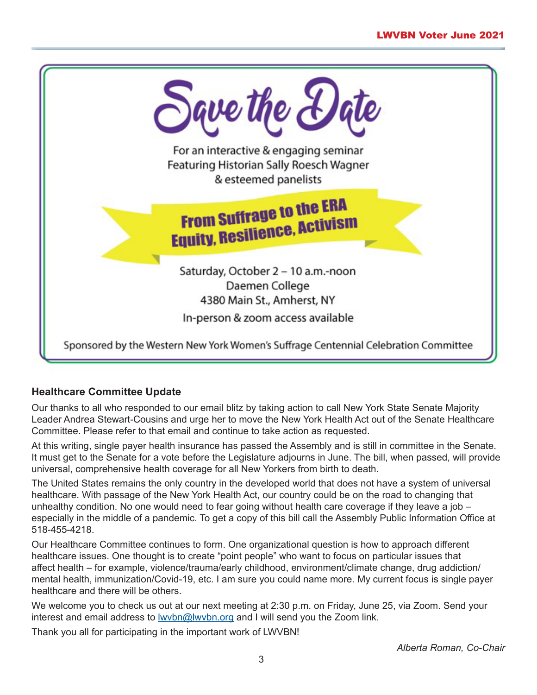

## **Healthcare Committee Update**

Our thanks to all who responded to our email blitz by taking action to call New York State Senate Majority Leader Andrea Stewart-Cousins and urge her to move the New York Health Act out of the Senate Healthcare Committee. Please refer to that email and continue to take action as requested.

At this writing, single payer health insurance has passed the Assembly and is still in committee in the Senate. It must get to the Senate for a vote before the Legislature adjourns in June. The bill, when passed, will provide universal, comprehensive health coverage for all New Yorkers from birth to death.

The United States remains the only country in the developed world that does not have a system of universal healthcare. With passage of the New York Health Act, our country could be on the road to changing that unhealthy condition. No one would need to fear going without health care coverage if they leave a job – especially in the middle of a pandemic. To get a copy of this bill call the Assembly Public Information Office at 518-455-4218.

Our Healthcare Committee continues to form. One organizational question is how to approach different healthcare issues. One thought is to create "point people" who want to focus on particular issues that affect health – for example, violence/trauma/early childhood, environment/climate change, drug addiction/ mental health, immunization/Covid-19, etc. I am sure you could name more. My current focus is single payer healthcare and there will be others.

We welcome you to check us out at our next meeting at 2:30 p.m. on Friday, June 25, via Zoom. Send your interest and email address to **wvbn@wvbn.org** and I will send you the Zoom link.

Thank you all for participating in the important work of LWVBN!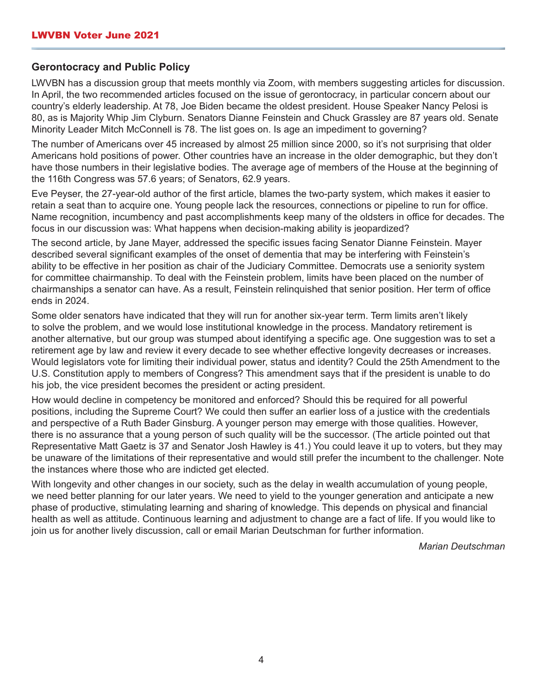#### **Gerontocracy and Public Policy**

LWVBN has a discussion group that meets monthly via Zoom, with members suggesting articles for discussion. In April, the two recommended articles focused on the issue of gerontocracy, in particular concern about our country's elderly leadership. At 78, Joe Biden became the oldest president. House Speaker Nancy Pelosi is 80, as is Majority Whip Jim Clyburn. Senators Dianne Feinstein and Chuck Grassley are 87 years old. Senate Minority Leader Mitch McConnell is 78. The list goes on. Is age an impediment to governing?

The number of Americans over 45 increased by almost 25 million since 2000, so it's not surprising that older Americans hold positions of power. Other countries have an increase in the older demographic, but they don't have those numbers in their legislative bodies. The average age of members of the House at the beginning of the 116th Congress was 57.6 years; of Senators, 62.9 years.

Eve Peyser, the 27-year-old author of the first article, blames the two-party system, which makes it easier to retain a seat than to acquire one. Young people lack the resources, connections or pipeline to run for office. Name recognition, incumbency and past accomplishments keep many of the oldsters in office for decades. The focus in our discussion was: What happens when decision-making ability is jeopardized?

The second article, by Jane Mayer, addressed the specific issues facing Senator Dianne Feinstein. Mayer described several significant examples of the onset of dementia that may be interfering with Feinstein's ability to be effective in her position as chair of the Judiciary Committee. Democrats use a seniority system for committee chairmanship. To deal with the Feinstein problem, limits have been placed on the number of chairmanships a senator can have. As a result, Feinstein relinquished that senior position. Her term of office ends in 2024.

Some older senators have indicated that they will run for another six-year term. Term limits aren't likely to solve the problem, and we would lose institutional knowledge in the process. Mandatory retirement is another alternative, but our group was stumped about identifying a specific age. One suggestion was to set a retirement age by law and review it every decade to see whether effective longevity decreases or increases. Would legislators vote for limiting their individual power, status and identity? Could the 25th Amendment to the U.S. Constitution apply to members of Congress? This amendment says that if the president is unable to do his job, the vice president becomes the president or acting president.

How would decline in competency be monitored and enforced? Should this be required for all powerful positions, including the Supreme Court? We could then suffer an earlier loss of a justice with the credentials and perspective of a Ruth Bader Ginsburg. A younger person may emerge with those qualities. However, there is no assurance that a young person of such quality will be the successor. (The article pointed out that Representative Matt Gaetz is 37 and Senator Josh Hawley is 41.) You could leave it up to voters, but they may be unaware of the limitations of their representative and would still prefer the incumbent to the challenger. Note the instances where those who are indicted get elected.

With longevity and other changes in our society, such as the delay in wealth accumulation of young people, we need better planning for our later years. We need to yield to the younger generation and anticipate a new phase of productive, stimulating learning and sharing of knowledge. This depends on physical and financial health as well as attitude. Continuous learning and adjustment to change are a fact of life. If you would like to join us for another lively discussion, call or email Marian Deutschman for further information.

*Marian Deutschman*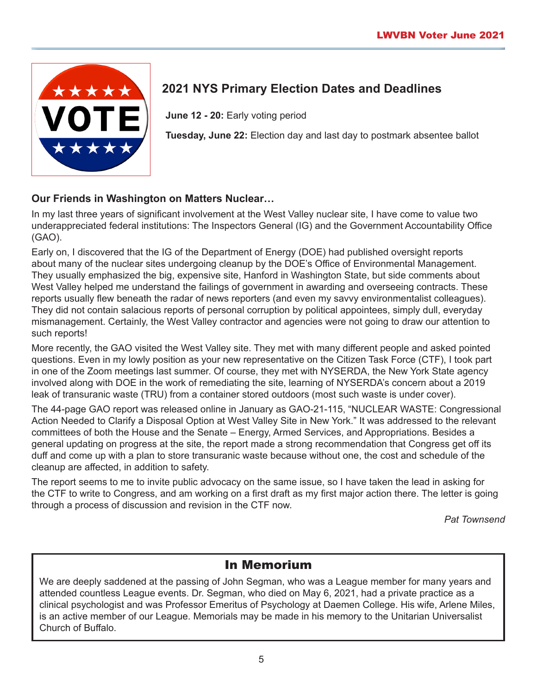

# **2021 NYS Primary Election Dates and Deadlines**

**June 12 - 20:** Early voting period

**Tuesday, June 22:** Election day and last day to postmark absentee ballot

## **Our Friends in Washington on Matters Nuclear…**

In my last three years of significant involvement at the West Valley nuclear site, I have come to value two underappreciated federal institutions: The Inspectors General (IG) and the Government Accountability Office (GAO).

Early on, I discovered that the IG of the Department of Energy (DOE) had published oversight reports about many of the nuclear sites undergoing cleanup by the DOE's Office of Environmental Management. They usually emphasized the big, expensive site, Hanford in Washington State, but side comments about West Valley helped me understand the failings of government in awarding and overseeing contracts. These reports usually flew beneath the radar of news reporters (and even my savvy environmentalist colleagues). They did not contain salacious reports of personal corruption by political appointees, simply dull, everyday mismanagement. Certainly, the West Valley contractor and agencies were not going to draw our attention to such reports!

More recently, the GAO visited the West Valley site. They met with many different people and asked pointed questions. Even in my lowly position as your new representative on the Citizen Task Force (CTF), I took part in one of the Zoom meetings last summer. Of course, they met with NYSERDA, the New York State agency involved along with DOE in the work of remediating the site, learning of NYSERDA's concern about a 2019 leak of transuranic waste (TRU) from a container stored outdoors (most such waste is under cover).

The 44-page GAO report was released online in January as GAO-21-115, "NUCLEAR WASTE: Congressional Action Needed to Clarify a Disposal Option at West Valley Site in New York." It was addressed to the relevant committees of both the House and the Senate – Energy, Armed Services, and Appropriations. Besides a general updating on progress at the site, the report made a strong recommendation that Congress get off its duff and come up with a plan to store transuranic waste because without one, the cost and schedule of the cleanup are affected, in addition to safety.

The report seems to me to invite public advocacy on the same issue, so I have taken the lead in asking for the CTF to write to Congress, and am working on a first draft as my first major action there. The letter is going through a process of discussion and revision in the CTF now.

*Pat Townsend*

## In Memorium

We are deeply saddened at the passing of John Segman, who was a League member for many years and attended countless League events. Dr. Segman, who died on May 6, 2021, had a private practice as a clinical psychologist and was Professor Emeritus of Psychology at Daemen College. His wife, Arlene Miles, is an active member of our League. Memorials may be made in his memory to the Unitarian Universalist Church of Buffalo.